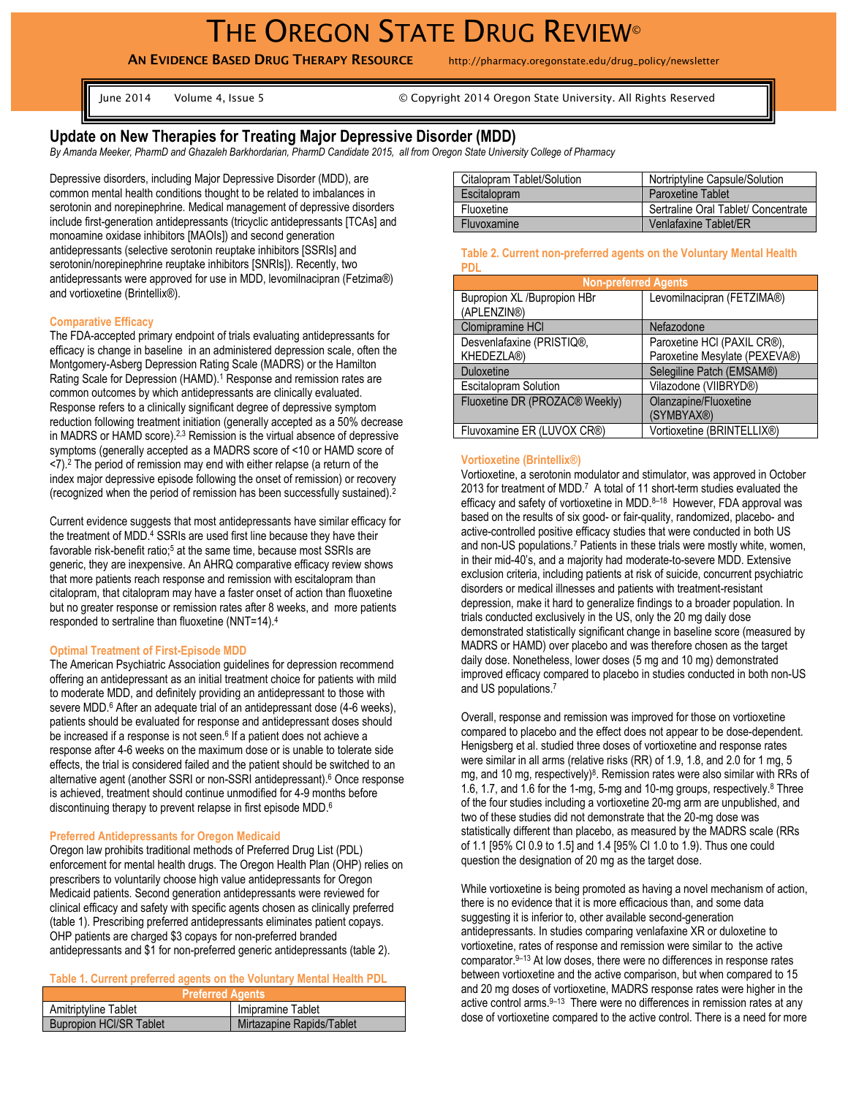**AN EVIDENCE BASED DRUG THERAPY RESOURCE** http://pharmacy.oregonstate.edu/drug\_policy/newsletter

June 2014 Volume 4, Issue 5 © Copyright 2014 Oregon State University. All Rights Reserved

# **Update on New Therapies for Treating Major Depressive Disorder (MDD)**

*By Amanda Meeker, PharmD and Ghazaleh Barkhordarian, PharmD Candidate 2015, all from Oregon State University College of Pharmacy*

Depressive disorders, including Major Depressive Disorder (MDD), are common mental health conditions thought to be related to imbalances in serotonin and norepinephrine. Medical management of depressive disorders include first-generation antidepressants (tricyclic antidepressants [TCAs] and monoamine oxidase inhibitors [MAOIs]) and second generation antidepressants (selective serotonin reuptake inhibitors [SSRIs] and serotonin/norepinephrine reuptake inhibitors [SNRIs]). Recently, two antidepressants were approved for use in MDD, levomilnacipran (Fetzima®) and vortioxetine (Brintellix®).

### **Comparative Efficacy**

The FDA-accepted primary endpoint of trials evaluating antidepressants for efficacy is change in baseline in an administered depression scale, often the Montgomery-Asberg Depression Rating Scale (MADRS) or the Hamilton Rating Scale for Depression (HAMD).<sup>1</sup> Response and remission rates are common outcomes by which antidepressants are clinically evaluated. Response refers to a clinically significant degree of depressive symptom reduction following treatment initiation (generally accepted as a 50% decrease in MADRS or HAMD score).<sup>2,3</sup> Remission is the virtual absence of depressive symptoms (generally accepted as a MADRS score of <10 or HAMD score of <7). <sup>2</sup> The period of remission may end with either relapse (a return of the index major depressive episode following the onset of remission) or recovery (recognized when the period of remission has been successfully sustained).<sup>2</sup>

Current evidence suggests that most antidepressants have similar efficacy for the treatment of MDD.<sup>4</sup> SSRIs are used first line because they have their favorable risk-benefit ratio;<sup>5</sup> at the same time, because most SSRIs are generic, they are inexpensive. An AHRQ comparative efficacy review shows that more patients reach response and remission with escitalopram than citalopram, that citalopram may have a faster onset of action than fluoxetine but no greater response or remission rates after 8 weeks, and more patients responded to sertraline than fluoxetine (NNT=14).<sup>4</sup>

### **Optimal Treatment of First-Episode MDD**

The American Psychiatric Association guidelines for depression recommend offering an antidepressant as an initial treatment choice for patients with mild to moderate MDD, and definitely providing an antidepressant to those with severe MDD.<sup>6</sup> After an adequate trial of an antidepressant dose (4-6 weeks), patients should be evaluated for response and antidepressant doses should be increased if a response is not seen.<sup>6</sup> If a patient does not achieve a response after 4-6 weeks on the maximum dose or is unable to tolerate side effects, the trial is considered failed and the patient should be switched to an alternative agent (another SSRI or non-SSRI antidepressant).<sup>6</sup> Once response is achieved, treatment should continue unmodified for 4-9 months before discontinuing therapy to prevent relapse in first episode MDD. 6

### **Preferred Antidepressants for Oregon Medicaid**

Oregon law prohibits traditional methods of Preferred Drug List (PDL) enforcement for mental health drugs. The Oregon Health Plan (OHP) relies on prescribers to voluntarily choose high value antidepressants for Oregon Medicaid patients. Second generation antidepressants were reviewed for clinical efficacy and safety with specific agents chosen as clinically preferred (table 1). Prescribing preferred antidepressants eliminates patient copays. OHP patients are charged \$3 copays for non-preferred branded antidepressants and \$1 for non-preferred generic antidepressants (table 2).

## **Table 1. Current preferred agents on the Voluntary Mental Health PDL**

| <b>Preferred Agents</b>        |                           |  |
|--------------------------------|---------------------------|--|
| Amitriptyline Tablet           | Imipramine Tablet         |  |
| <b>Bupropion HCI/SR Tablet</b> | Mirtazapine Rapids/Tablet |  |

| Citalopram Tablet/Solution | Nortriptyline Capsule/Solution      |
|----------------------------|-------------------------------------|
| Escitalopram               | <b>Paroxetine Tablet</b>            |
| Fluoxetine                 | Sertraline Oral Tablet/ Concentrate |
| Fluvoxamine                | Venlafaxine Tablet/ER               |

#### **Table 2. Current non-preferred agents on the Voluntary Mental Health PDL**

| <b>Non-preferred Agents</b>    |                               |  |
|--------------------------------|-------------------------------|--|
| Bupropion XL /Bupropion HBr    | Levomilnacipran (FETZIMA®)    |  |
| (APLENZIN®)                    |                               |  |
| Clomipramine HCI               | Nefazodone                    |  |
| Desvenlafaxine (PRISTIQ®,      | Paroxetine HCI (PAXIL CR®),   |  |
| KHEDEZLA®)                     | Paroxetine Mesylate (PEXEVA®) |  |
| <b>Duloxetine</b>              | Selegiline Patch (EMSAM®)     |  |
| <b>Escitalopram Solution</b>   | Vilazodone (VIIBRYD®)         |  |
| Fluoxetine DR (PROZAC® Weekly) | Olanzapine/Fluoxetine         |  |
|                                | (SYMBYAX®)                    |  |
| Fluvoxamine ER (LUVOX CR®)     | Vortioxetine (BRINTELLIX®)    |  |

#### **Vortioxetine (Brintellix®)**

Vortioxetine, a serotonin modulator and stimulator, was approved in October 2013 for treatment of MDD.<sup>7</sup> A total of 11 short-term studies evaluated the efficacy and safety of vortioxetine in MDD.<sup>8-18</sup> However, FDA approval was based on the results of six good- or fair-quality, randomized, placebo- and active-controlled positive efficacy studies that were conducted in both US and non-US populations.<sup>7</sup> Patients in these trials were mostly white, women, in their mid-40's, and a majority had moderate-to-severe MDD. Extensive exclusion criteria, including patients at risk of suicide, concurrent psychiatric disorders or medical illnesses and patients with treatment-resistant depression, make it hard to generalize findings to a broader population. In trials conducted exclusively in the US, only the 20 mg daily dose demonstrated statistically significant change in baseline score (measured by MADRS or HAMD) over placebo and was therefore chosen as the target daily dose. Nonetheless, lower doses (5 mg and 10 mg) demonstrated improved efficacy compared to placebo in studies conducted in both non-US and US populations.<sup>7</sup>

Overall, response and remission was improved for those on vortioxetine compared to placebo and the effect does not appear to be dose-dependent. Henigsberg et al. studied three doses of vortioxetine and response rates were similar in all arms (relative risks (RR) of 1.9, 1.8, and 2.0 for 1 mg, 5 mg, and 10 mg, respectively)<sup>8</sup>. Remission rates were also similar with RRs of 1.6, 1.7, and 1.6 for the 1-mg, 5-mg and 10-mg groups, respectively.<sup>8</sup> Three of the four studies including a vortioxetine 20-mg arm are unpublished, and two of these studies did not demonstrate that the 20-mg dose was statistically different than placebo, as measured by the MADRS scale (RRs of 1.1 [95% CI 0.9 to 1.5] and 1.4 [95% CI 1.0 to 1.9). Thus one could question the designation of 20 mg as the target dose.

While vortioxetine is being promoted as having a novel mechanism of action, there is no evidence that it is more efficacious than, and some data suggesting it is inferior to, other available second-generation antidepressants. In studies comparing venlafaxine XR or duloxetine to vortioxetine, rates of response and remission were similar to the active comparator. <sup>9</sup>–<sup>13</sup> At low doses, there were no differences in response rates between vortioxetine and the active comparison, but when compared to 15 and 20 mg doses of vortioxetine, MADRS response rates were higher in the active control arms. 9-13 There were no differences in remission rates at any dose of vortioxetine compared to the active control. There is a need for more